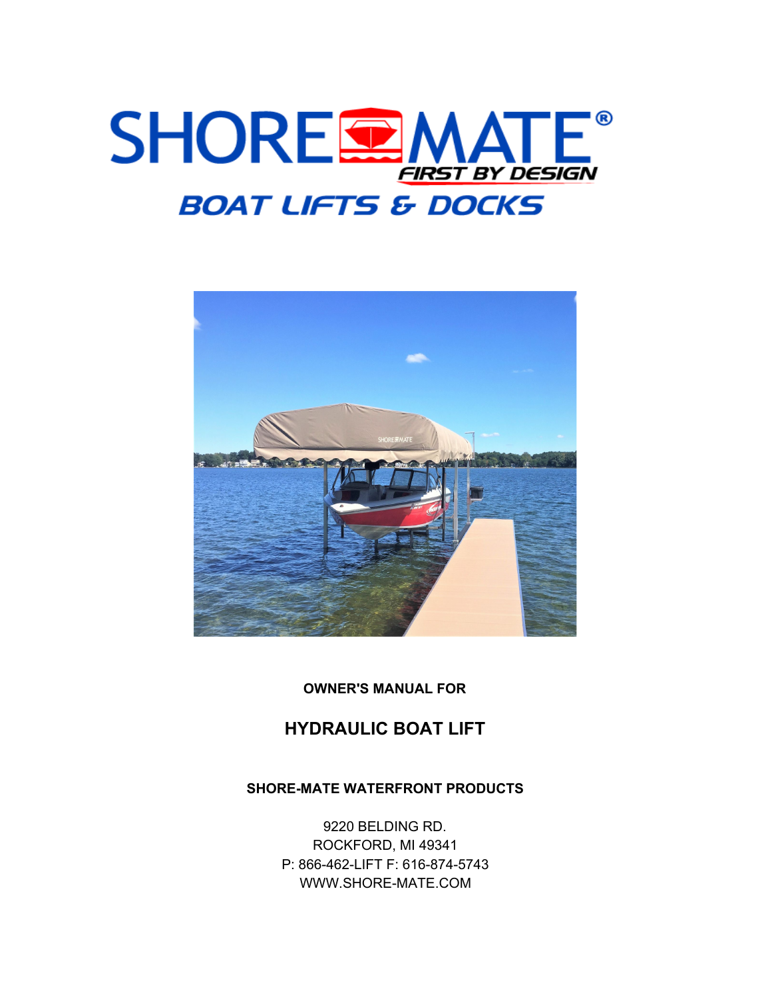



**OWNER'S MANUAL FOR**

# **HYDRAULIC BOAT LIFT**

### **SHORE-MATE WATERFRONT PRODUCTS**

9220 BELDING RD. ROCKFORD, MI 49341 P: 866-462-LIFT F: 616-874-5743 WWW.SHORE-MATE.COM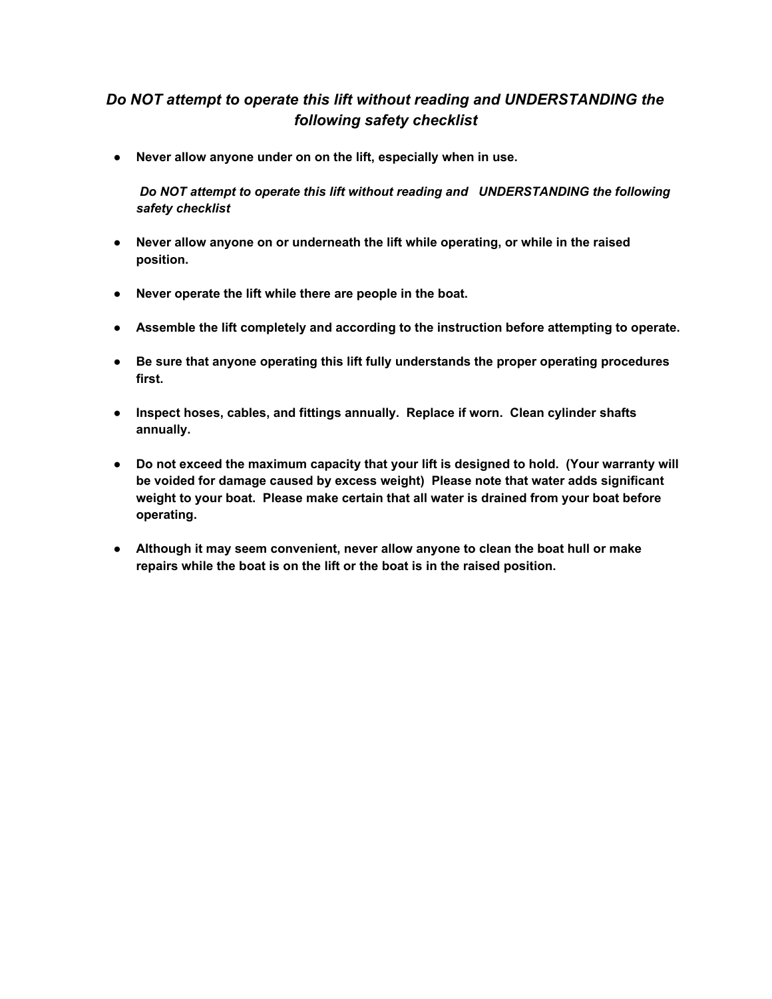# *Do NOT attempt to operate this lift without reading and UNDERSTANDING the following safety checklist*

**● Never allow anyone under on on the lift, especially when in use.**

*Do NOT attempt to operate this lift without reading and UNDERSTANDING the following safety checklist*

- **● Never allow anyone on or underneath the lift while operating, or while in the raised position.**
- **● Never operate the lift while there are people in the boat.**
- **● Assemble the lift completely and according to the instruction before attempting to operate.**
- **● Be sure that anyone operating this lift fully understands the proper operating procedures first.**
- **● Inspect hoses, cables, and fittings annually. Replace if worn. Clean cylinder shafts annually.**
- **● Do not exceed the maximum capacity that your lift is designed to hold. (Your warranty will be voided for damage caused by excess weight) Please note that water adds significant weight to your boat. Please make certain that all water is drained from your boat before operating.**
- **● Although it may seem convenient, never allow anyone to clean the boat hull or make repairs while the boat is on the lift or the boat is in the raised position.**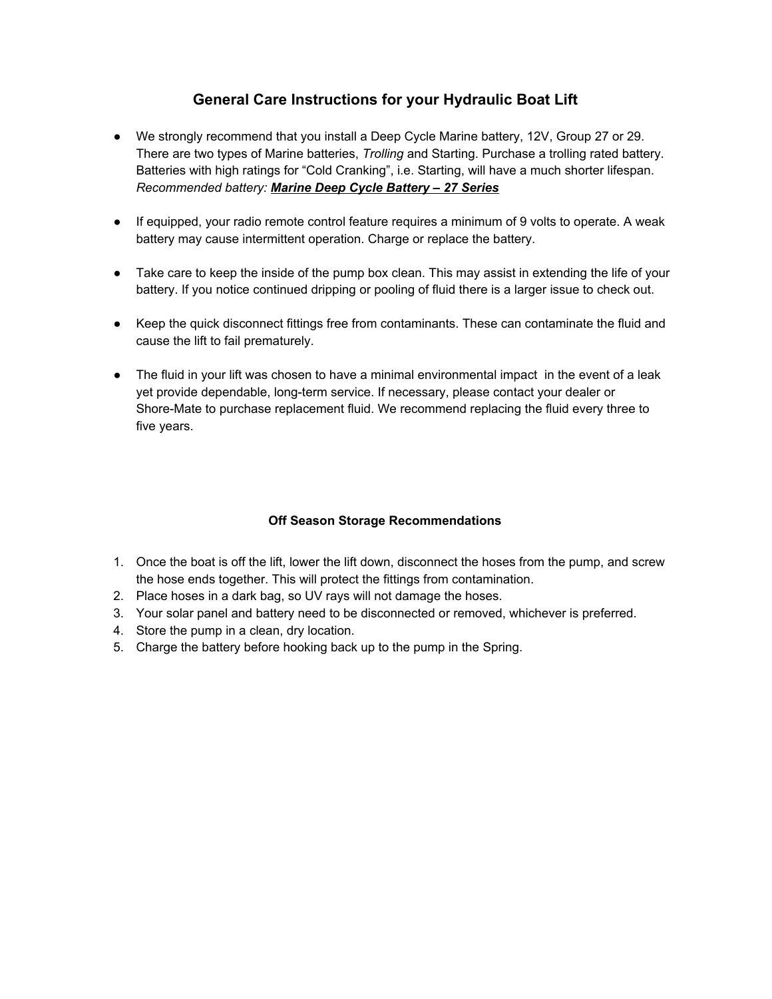### **General Care Instructions for your Hydraulic Boat Lift**

- We strongly recommend that you install a Deep Cycle Marine battery, 12V, Group 27 or 29. There are two types of Marine batteries, *Trolling* and Starting. Purchase a trolling rated battery. Batteries with high ratings for "Cold Cranking", i.e. Starting, will have a much shorter lifespan. *Recommended battery: Marine Deep Cycle Battery – 27 Series*
- If equipped, your radio remote control feature requires a minimum of 9 volts to operate. A weak battery may cause intermittent operation. Charge or replace the battery.
- Take care to keep the inside of the pump box clean. This may assist in extending the life of your battery. If you notice continued dripping or pooling of fluid there is a larger issue to check out.
- Keep the quick disconnect fittings free from contaminants. These can contaminate the fluid and cause the lift to fail prematurely.
- The fluid in your lift was chosen to have a minimal environmental impact in the event of a leak yet provide dependable, long-term service. If necessary, please contact your dealer or Shore-Mate to purchase replacement fluid. We recommend replacing the fluid every three to five years.

### **Off Season Storage Recommendations**

- 1. Once the boat is off the lift, lower the lift down, disconnect the hoses from the pump, and screw the hose ends together. This will protect the fittings from contamination.
- 2. Place hoses in a dark bag, so UV rays will not damage the hoses.
- 3. Your solar panel and battery need to be disconnected or removed, whichever is preferred.
- 4. Store the pump in a clean, dry location.
- 5. Charge the battery before hooking back up to the pump in the Spring.